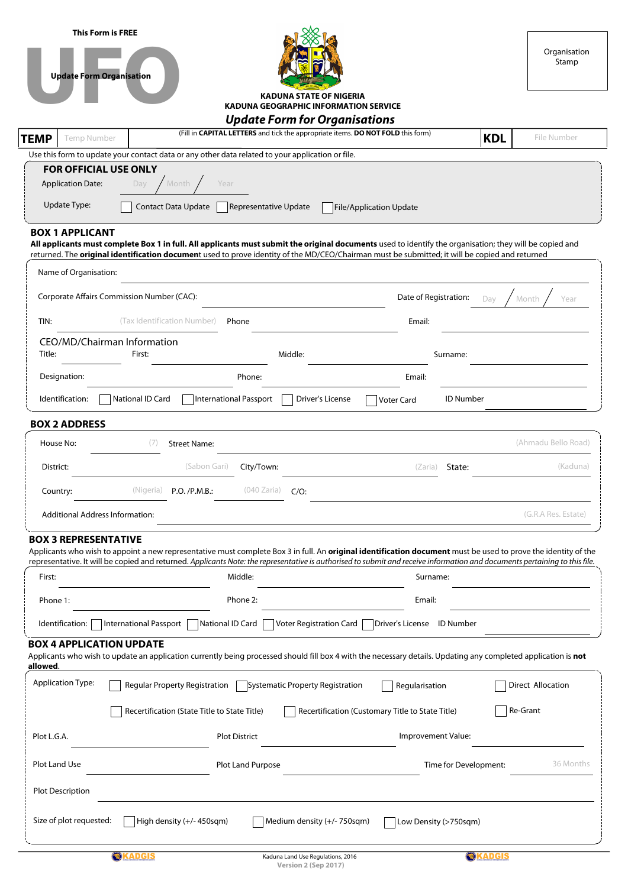| <b>This Form is FREE</b><br><b>Update Form Organisation</b> | <b>KADUNA STATE OF NIGERIA</b>                                                                                                                                                                                                                                                                             | Organisation<br>Stamp |
|-------------------------------------------------------------|------------------------------------------------------------------------------------------------------------------------------------------------------------------------------------------------------------------------------------------------------------------------------------------------------------|-----------------------|
|                                                             | <b>KADUNA GEOGRAPHIC INFORMATION SERVICE</b><br><b>Update Form for Organisations</b>                                                                                                                                                                                                                       |                       |
| <b>TEMP</b><br>Temp Number                                  | (Fill in CAPITAL LETTERS and tick the appropriate items. DO NOT FOLD this form)<br><b>KDL</b>                                                                                                                                                                                                              | File Number           |
|                                                             | Use this form to update your contact data or any other data related to your application or file.                                                                                                                                                                                                           |                       |
| <b>FOR OFFICIAL USE ONLY</b><br><b>Application Date:</b>    | Month<br>Year<br>Day                                                                                                                                                                                                                                                                                       |                       |
| Update Type:                                                | <b>Contact Data Update</b><br>Representative Update<br><b>File/Application Update</b>                                                                                                                                                                                                                      |                       |
| <b>BOX 1 APPLICANT</b>                                      | All applicants must complete Box 1 in full. All applicants must submit the original documents used to identify the organisation; they will be copied and<br>returned. The original identification document used to prove identity of the MD/CEO/Chairman must be submitted; it will be copied and returned |                       |
| Name of Organisation:                                       |                                                                                                                                                                                                                                                                                                            |                       |
| Corporate Affairs Commission Number (CAC):                  | Date of Registration:<br>Day                                                                                                                                                                                                                                                                               | Month<br>Year         |
| TIN:                                                        | (Tax Identification Number)<br>Phone<br>Email:                                                                                                                                                                                                                                                             |                       |
| CEO/MD/Chairman Information<br>Title:                       | First:<br>Middle:<br>Surname:                                                                                                                                                                                                                                                                              |                       |
| Designation:                                                | Phone:<br>Email:                                                                                                                                                                                                                                                                                           |                       |
| Identification:                                             | National ID Card<br><b>International Passport</b><br><b>ID Number</b><br>Driver's License<br><b>Voter Card</b>                                                                                                                                                                                             |                       |
| <b>BOX 2 ADDRESS</b>                                        |                                                                                                                                                                                                                                                                                                            |                       |
| House No:                                                   | (7)<br><b>Street Name:</b>                                                                                                                                                                                                                                                                                 | (Ahmadu Bello Road)   |
| District:                                                   | (Sabon Gari)<br>City/Town:<br>State:<br>(Zaria)                                                                                                                                                                                                                                                            | (Kaduna)              |
| Country:                                                    | (040 Zaria)<br>(Nigeria)<br>P.O. /P.M.B.                                                                                                                                                                                                                                                                   |                       |
| <b>Additional Address Information:</b>                      |                                                                                                                                                                                                                                                                                                            | (G.R.A Res. Estate)   |
| <b>BOX 3 REPRESENTATIVE</b>                                 | Applicants who wish to appoint a new representative must complete Box 3 in full. An original identification document must be used to prove the identity of the                                                                                                                                             |                       |
|                                                             | representative. It will be copied and returned. Applicants Note: the representative is authorised to submit and receive information and documents pertaining to this file.                                                                                                                                 |                       |
| First:                                                      | Middle:<br>Surname:                                                                                                                                                                                                                                                                                        |                       |
| Phone 1:                                                    | Email:<br>Phone 2:                                                                                                                                                                                                                                                                                         |                       |
| Identification:                                             | International Passport  <br>National ID Card<br><b>Voter Registration Card</b><br>Driver's License ID Number                                                                                                                                                                                               |                       |
| <b>BOX 4 APPLICATION UPDATE</b><br>allowed.                 | Applicants who wish to update an application currently being processed should fill box 4 with the necessary details. Updating any completed application is not                                                                                                                                             |                       |
| <b>Application Type:</b>                                    | Regular Property Registration<br>Systematic Property Registration<br>Regularisation                                                                                                                                                                                                                        | Direct Allocation     |
|                                                             | Recertification (State Title to State Title)<br>Recertification (Customary Title to State Title)                                                                                                                                                                                                           | Re-Grant              |
| Plot L.G.A.                                                 | <b>Plot District</b><br>Improvement Value:                                                                                                                                                                                                                                                                 |                       |
| Plot Land Use                                               | <b>Plot Land Purpose</b><br>Time for Development:                                                                                                                                                                                                                                                          | 36 Months             |
| <b>Plot Description</b>                                     |                                                                                                                                                                                                                                                                                                            |                       |
| Size of plot requested:                                     | High density (+/-450sqm)<br>Medium density (+/- 750sqm)<br>Low Density (>750sqm)                                                                                                                                                                                                                           |                       |
|                                                             | <b>OKADGIS</b><br><b>OKADGIS</b><br>Kaduna Land Use Regulations, 2016<br>Version 2 (Sep 2017)                                                                                                                                                                                                              |                       |